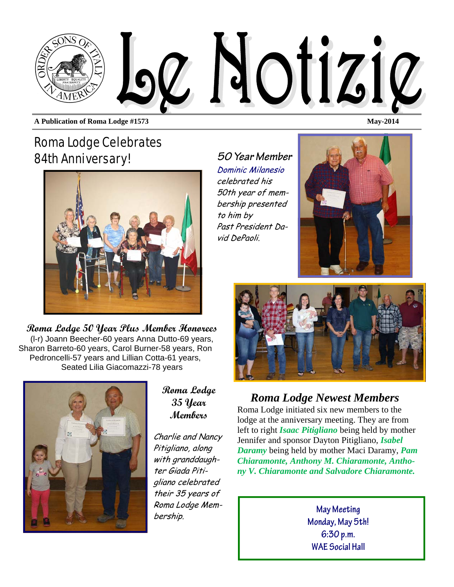

**A Publication of Roma Lodge #1573** May-2014

## Roma Lodge Celebrates 84th Anniversary!



**Roma Lodge 50 Year Plus Member Honorees**  (l-r) Joann Beecher-60 years Anna Dutto-69 years, Sharon Barreto-60 years, Carol Burner-58 years, Ron Pedroncelli-57 years and Lillian Cotta-61 years, Seated Lilia Giacomazzi-78 years



**Roma Lodge 35 Year Members** 

Charlie and Nancy Pitigliano, along with granddaughter Giada Pitigliano celebrated their 35 years of Roma Lodge Membership.

*50 Year Member*  Dominic Milanesio celebrated his 50th year of membership presented to him by Past President David DePaoli.





#### *Roma Lodge Newest Members*

Roma Lodge initiated six new members to the lodge at the anniversary meeting. They are from left to right *Isaac Pitigliano* being held by mother Jennifer and sponsor Dayton Pitigliano, *Isabel Daramy* being held by mother Maci Daramy, *Pam Chiaramonte, Anthony M. Chiaramonte, Anthony V. Chiaramonte and Salvadore Chiaramonte.* 

> **May Meeting Monday, May 5th! 6:30 p.m. WAE Social Hall**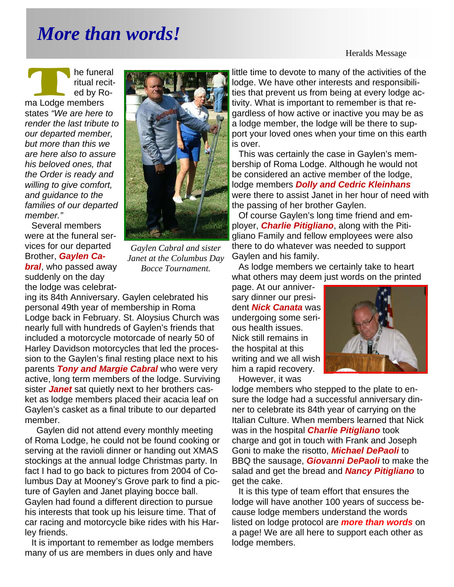## *More than words!*

Heralds Message

he funeral<br>
ritual recited<br>
by Ro-<br>
ma Lodge members ritual recited by Rostates *"We are here to render the last tribute to our departed member, but more than this we are here also to assure his beloved ones, that the Order is ready and willing to give comfort, and guidance to the families of our departed member."* 

Several members were at the funeral services for our departed Brother, *Gaylen Cabral*, who passed away suddenly on the day the lodge was celebrat-



*Gaylen Cabral and sister Janet at the Columbus Day Bocce Tournament.* 

ing its 84th Anniversary. Gaylen celebrated his personal 49th year of membership in Roma Lodge back in February. St. Aloysius Church was nearly full with hundreds of Gaylen's friends that included a motorcycle motorcade of nearly 50 of Harley Davidson motorcycles that led the procession to the Gaylen's final resting place next to his parents *Tony and Margie Cabral* who were very active, long term members of the lodge. Surviving sister *Janet* sat quietly next to her brothers casket as lodge members placed their acacia leaf on Gaylen's casket as a final tribute to our departed member.

 Gaylen did not attend every monthly meeting of Roma Lodge, he could not be found cooking or serving at the ravioli dinner or handing out XMAS stockings at the annual lodge Christmas party. In fact I had to go back to pictures from 2004 of Columbus Day at Mooney's Grove park to find a picture of Gaylen and Janet playing bocce ball. Gaylen had found a different direction to pursue his interests that took up his leisure time. That of car racing and motorcycle bike rides with his Harley friends.

It is important to remember as lodge members many of us are members in dues only and have

little time to devote to many of the activities of the lodge. We have other interests and responsibilities that prevent us from being at every lodge activity. What is important to remember is that regardless of how active or inactive you may be as a lodge member, the lodge will be there to support your loved ones when your time on this earth is over.

This was certainly the case in Gaylen's membership of Roma Lodge. Although he would not be considered an active member of the lodge, lodge members *Dolly and Cedric Kleinhans*  were there to assist Janet in her hour of need with the passing of her brother Gaylen.

Of course Gaylen's long time friend and employer, *Charlie Pitigliano*, along with the Pitigliano Family and fellow employees were also there to do whatever was needed to support Gaylen and his family.

As lodge members we certainly take to heart what others may deem just words on the printed

page. At our anniversary dinner our president *Nick Canata* was undergoing some serious health issues. Nick still remains in the hospital at this writing and we all wish him a rapid recovery. However, it was



lodge members who stepped to the plate to ensure the lodge had a successful anniversary dinner to celebrate its 84th year of carrying on the Italian Culture. When members learned that Nick was in the hospital *Charlie Pitigliano* took charge and got in touch with Frank and Joseph Goni to make the risotto, *Michael DePaoli* to BBQ the sausage, *Giovanni DePaoli* to make the salad and get the bread and *Nancy Pitigliano* to get the cake.

It is this type of team effort that ensures the lodge will have another 100 years of success because lodge members understand the words listed on lodge protocol are *more than words* on a page! We are all here to support each other as lodge members.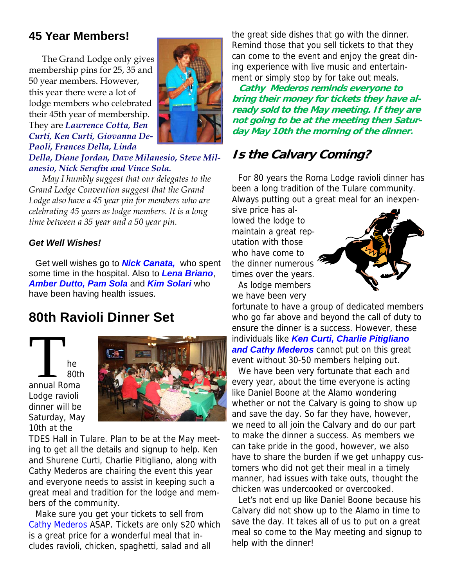#### **45 Year Members!**

The Grand Lodge only gives membership pins for 25, 35 and 50 year members. However, this year there were a lot of lodge members who celebrated their 45th year of membership. They are *Lawrence Cotta, Ben Curti, Ken Curti, Giovanna De-Paoli, Frances Della, Linda* 



*Della, Diane Jordan, Dave Milanesio, Steve Milanesio, Nick Serafin and Vince Sola.* 

*May I humbly suggest that our delegates to the Grand Lodge Convention suggest that the Grand Lodge also have a 45 year pin for members who are celebrating 45 years as lodge members. It is a long time between a 35 year and a 50 year pin.* 

#### *Get Well Wishes!*

Get well wishes go to *Nick Canata,* who spent some time in the hospital. Also to *Lena Briano*, *Amber Dutto, Pam Sola* and *Kim Solari* who have been having health issues.

#### **80th Ravioli Dinner Set**

T he B<sub>0th</sub><br>
annual Roma 80th Lodge ravioli dinner will be Saturday, May 10th at the



TDES Hall in Tulare. Plan to be at the May meeting to get all the details and signup to help. Ken and Shurene Curti, Charlie Pitigliano, along with Cathy Mederos are chairing the event this year and everyone needs to assist in keeping such a great meal and tradition for the lodge and members of the community.

Make sure you get your tickets to sell from Cathy Mederos ASAP. Tickets are only \$20 which is a great price for a wonderful meal that includes ravioli, chicken, spaghetti, salad and all

the great side dishes that go with the dinner. Remind those that you sell tickets to that they can come to the event and enjoy the great dining experience with live music and entertainment or simply stop by for take out meals.

**Cathy Mederos reminds everyone to bring their money for tickets they have already sold to the May meeting. If they are not going to be at the meeting then Saturday May 10th the morning of the dinner.** 

#### **Is the Calvary Coming?**

For 80 years the Roma Lodge ravioli dinner has been a long tradition of the Tulare community. Always putting out a great meal for an inexpen-

sive price has allowed the lodge to maintain a great reputation with those who have come to the dinner numerous times over the years. As lodge members

we have been very



fortunate to have a group of dedicated members who go far above and beyond the call of duty to ensure the dinner is a success. However, these individuals like *Ken Curti, Charlie Pitigliano and Cathy Mederos* cannot put on this great event without 30-50 members helping out.

We have been very fortunate that each and every year, about the time everyone is acting like Daniel Boone at the Alamo wondering whether or not the Calvary is going to show up and save the day. So far they have, however, we need to all join the Calvary and do our part to make the dinner a success. As members we can take pride in the good, however, we also have to share the burden if we get unhappy customers who did not get their meal in a timely manner, had issues with take outs, thought the chicken was undercooked or overcooked.

Let's not end up like Daniel Boone because his Calvary did not show up to the Alamo in time to save the day. It takes all of us to put on a great meal so come to the May meeting and signup to help with the dinner!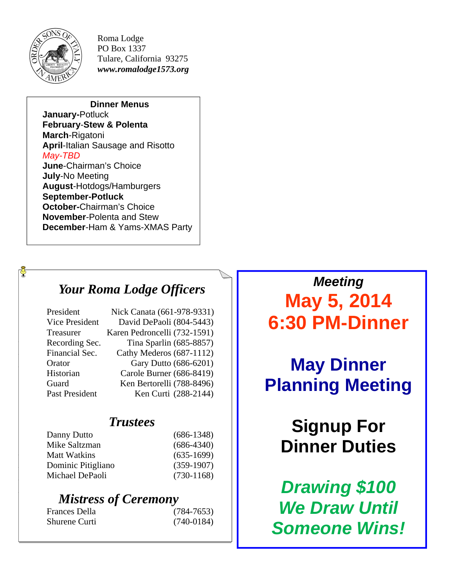

 $\Phi$ 

Roma Lodge PO Box 1337 Tulare, California 93275 *www.romalodge1573.org* 

#### **Dinner Menus**

**January-**Potluck **February**-**Stew & Polenta March**-Rigatoni **April**-Italian Sausage and Risotto *May-TBD*  **June**-Chairman's Choice **July**-No Meeting **August**-Hotdogs/Hamburgers **September-Potluck October-**Chairman's Choice **November**-Polenta and Stew **December**-Ham & Yams-XMAS Party

### *Your Roma Lodge Officers*

| President             | Nick Canata (661-978-9331)   |
|-----------------------|------------------------------|
| <b>Vice President</b> | David DePaoli (804-5443)     |
| Treasurer             | Karen Pedroncelli (732-1591) |
| Recording Sec.        | Tina Sparlin (685-8857)      |
| Financial Sec.        | Cathy Mederos (687-1112)     |
| Orator                | Gary Dutto (686-6201)        |
| Historian             | Carole Burner (686-8419)     |
| Guard                 | Ken Bertorelli (788-8496)    |
| Past President        | Ken Curti (288-2144)         |
|                       |                              |

#### *Trustees*

| Danny Dutto        | $(686-1348)$ |
|--------------------|--------------|
| Mike Saltzman      | $(686-4340)$ |
| Matt Watkins       | $(635-1699)$ |
| Dominic Pitigliano | $(359-1907)$ |
| Michael DePaoli    | $(730-1168)$ |
|                    |              |

### *Mistress of Ceremony*

Frances Della (784-7653) Shurene Curti (740-0184)

*Meeting*  **May 5, 2014 6:30 PM-Dinner** 

**May Dinner Planning Meeting** 

# **Signup For Dinner Duties**

*Drawing \$100 We Draw Until Someone Wins!*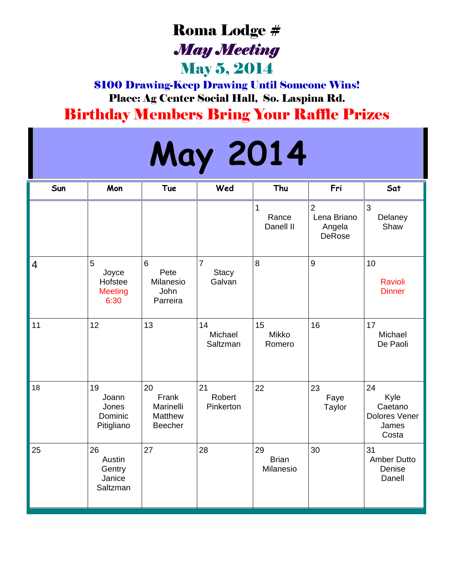## Roma Lodge # *May Meeting*

## May 5, 2014

\$100 Drawing-Keep Drawing Until Someone Wins! Place: Ag Center Social Hall, So. Laspina Rd. Birthday Members Bring Your Raffle Prizes

# **May 2014**

| Sun            | Mon                                             | Tue                                            | Wed                                      | Thu                             | Fri                                               | Sat                                                             |
|----------------|-------------------------------------------------|------------------------------------------------|------------------------------------------|---------------------------------|---------------------------------------------------|-----------------------------------------------------------------|
|                |                                                 |                                                |                                          | 1<br>Rance<br>Danell II         | $\overline{2}$<br>Lena Briano<br>Angela<br>DeRose | 3<br>Delaney<br>Shaw                                            |
| $\overline{4}$ | 5<br>Joyce<br>Hofstee<br><b>Meeting</b><br>6:30 | 6<br>Pete<br>Milanesio<br>John<br>Parreira     | $\overline{7}$<br><b>Stacy</b><br>Galvan | 8                               | 9                                                 | 10<br><b>Ravioli</b><br><b>Dinner</b>                           |
| 11             | 12                                              | 13                                             | 14<br>Michael<br>Saltzman                | 15<br><b>Mikko</b><br>Romero    | 16                                                | 17<br>Michael<br>De Paoli                                       |
| 18             | 19<br>Joann<br>Jones<br>Dominic<br>Pitigliano   | 20<br>Frank<br>Marinelli<br>Matthew<br>Beecher | 21<br>Robert<br>Pinkerton                | 22                              | 23<br>Faye<br>Taylor                              | 24<br>Kyle<br>Caetano<br><b>Dolores Vener</b><br>James<br>Costa |
| 25             | 26<br>Austin<br>Gentry<br>Janice<br>Saltzman    | 27                                             | 28                                       | 29<br><b>Brian</b><br>Milanesio | 30                                                | 31<br><b>Amber Dutto</b><br>Denise<br>Danell                    |